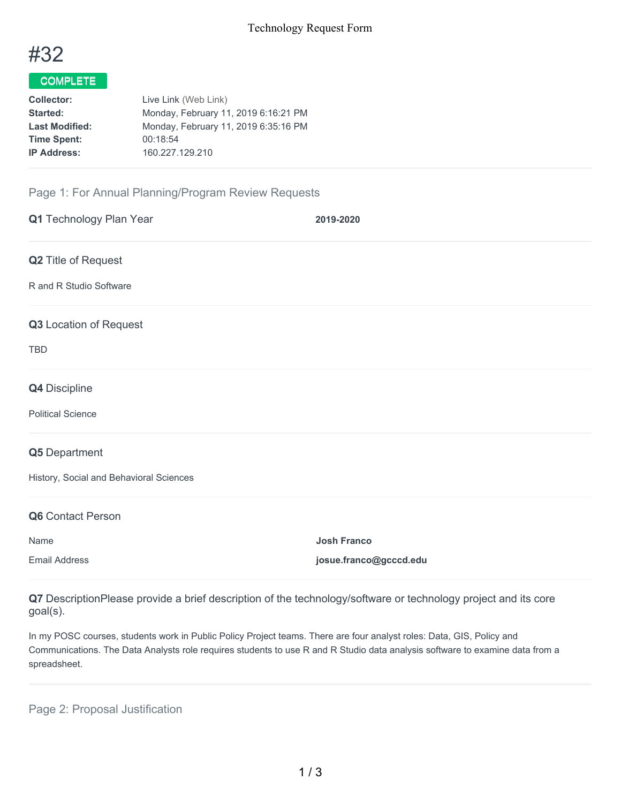

## COMPLETE

| Collector:            | Live Link (Web Link)                 |  |  |
|-----------------------|--------------------------------------|--|--|
| Started:              | Monday, February 11, 2019 6:16:21 PM |  |  |
| <b>Last Modified:</b> | Monday, February 11, 2019 6:35:16 PM |  |  |
| <b>Time Spent:</b>    | 00:18:54                             |  |  |
| <b>IP Address:</b>    | 160.227.129.210                      |  |  |
|                       |                                      |  |  |

## Page 1: For Annual Planning/Program Review Requests

| Q1 Technology Plan Year                 | 2019-2020              |
|-----------------------------------------|------------------------|
| Q2 Title of Request                     |                        |
| R and R Studio Software                 |                        |
| Q3 Location of Request                  |                        |
| <b>TBD</b>                              |                        |
| Q4 Discipline                           |                        |
| <b>Political Science</b>                |                        |
| Q5 Department                           |                        |
| History, Social and Behavioral Sciences |                        |
| Q6 Contact Person                       |                        |
| Name                                    | <b>Josh Franco</b>     |
| <b>Email Address</b>                    | josue.franco@gcccd.edu |

**Q7** DescriptionPlease provide a brief description of the technology/software or technology project and its core goal(s).

In my POSC courses, students work in Public Policy Project teams. There are four analyst roles: Data, GIS, Policy and Communications. The Data Analysts role requires students to use R and R Studio data analysis software to examine data from a spreadsheet.

Page 2: Proposal Justification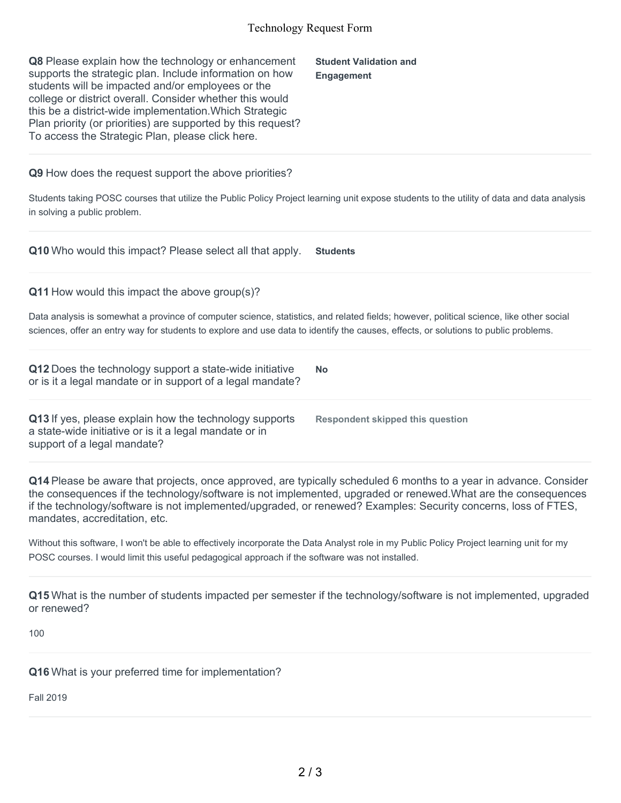## Technology Request Form

| Q8 Please explain how the technology or enhancement<br>supports the strategic plan. Include information on how<br>students will be impacted and/or employees or the<br>college or district overall. Consider whether this would<br>this be a district-wide implementation. Which Strategic<br>Plan priority (or priorities) are supported by this request?<br>To access the Strategic Plan, please click here. | <b>Student Validation and</b><br><b>Engagement</b> |
|----------------------------------------------------------------------------------------------------------------------------------------------------------------------------------------------------------------------------------------------------------------------------------------------------------------------------------------------------------------------------------------------------------------|----------------------------------------------------|
| Q9 How does the request support the above priorities?<br>Students taking POSC courses that utilize the Public Policy Project learning unit expose students to the utility of data and data analysis<br>in solving a public problem.                                                                                                                                                                            |                                                    |
| Q10 Who would this impact? Please select all that apply.                                                                                                                                                                                                                                                                                                                                                       | <b>Students</b>                                    |
| $Q11$ How would this impact the above group(s)?<br>Data analysis is somewhat a province of computer science, statistics, and related fields; however, political science, like other social<br>sciences, offer an entry way for students to explore and use data to identify the causes, effects, or solutions to public problems.                                                                              |                                                    |
| Q12 Does the technology support a state-wide initiative<br>or is it a legal mandate or in support of a legal mandate?                                                                                                                                                                                                                                                                                          | <b>No</b>                                          |
| Q13 If yes, please explain how the technology supports<br>a state-wide initiative or is it a legal mandate or in<br>support of a legal mandate?                                                                                                                                                                                                                                                                | <b>Respondent skipped this question</b>            |
| Q14 Please be aware that projects, once approved, are typically scheduled 6 months to a year in advance. Consider<br>the consequences if the technology coffware is not implemented upgraded or repowed What are the consequences                                                                                                                                                                              |                                                    |

the consequences if the technology/software is not implemented, upgraded or renewed.What are the consequences if the technology/software is not implemented/upgraded, or renewed? Examples: Security concerns, loss of FTES, mandates, accreditation, etc.

Without this software, I won't be able to effectively incorporate the Data Analyst role in my Public Policy Project learning unit for my POSC courses. I would limit this useful pedagogical approach if the software was not installed.

**Q15** What is the number of students impacted per semester if the technology/software is not implemented, upgraded or renewed?

100

**Q16** What is your preferred time for implementation?

Fall 2019